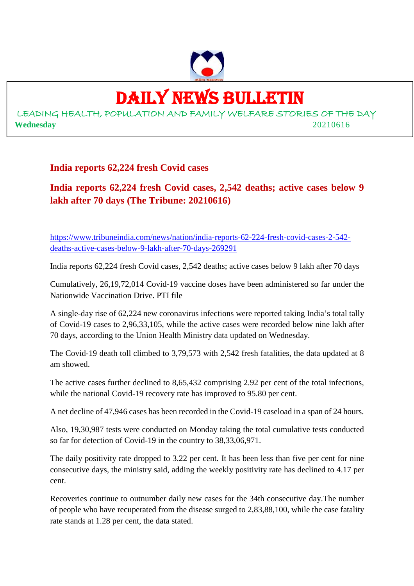

## DAILY NEWS BULLETIN

LEADING HEALTH, POPULATION AND FAMILY WELFARE STORIES OF THE DAY **Wednesday** 20210616

**India reports 62,224 fresh Covid cases**

**India reports 62,224 fresh Covid cases, 2,542 deaths; active cases below 9 lakh after 70 days (The Tribune: 20210616)**

https://www.tribuneindia.com/news/nation/india-reports-62-224-fresh-covid-cases-2-542 deaths-active-cases-below-9-lakh-after-70-days-269291

India reports 62,224 fresh Covid cases, 2,542 deaths; active cases below 9 lakh after 70 days

Cumulatively, 26,19,72,014 Covid-19 vaccine doses have been administered so far under the Nationwide Vaccination Drive. PTI file

A single-day rise of 62,224 new coronavirus infections were reported taking India's total tally of Covid-19 cases to 2,96,33,105, while the active cases were recorded below nine lakh after 70 days, according to the Union Health Ministry data updated on Wednesday.

The Covid-19 death toll climbed to 3,79,573 with 2,542 fresh fatalities, the data updated at 8 am showed.

The active cases further declined to 8,65,432 comprising 2.92 per cent of the total infections, while the national Covid-19 recovery rate has improved to 95.80 per cent.

A net decline of 47,946 cases has been recorded in the Covid-19 caseload in a span of 24 hours.

Also, 19,30,987 tests were conducted on Monday taking the total cumulative tests conducted so far for detection of Covid-19 in the country to 38,33,06,971.

The daily positivity rate dropped to 3.22 per cent. It has been less than five per cent for nine consecutive days, the ministry said, adding the weekly positivity rate has declined to 4.17 per cent.

Recoveries continue to outnumber daily new cases for the 34th consecutive day.The number of people who have recuperated from the disease surged to 2,83,88,100, while the case fatality rate stands at 1.28 per cent, the data stated.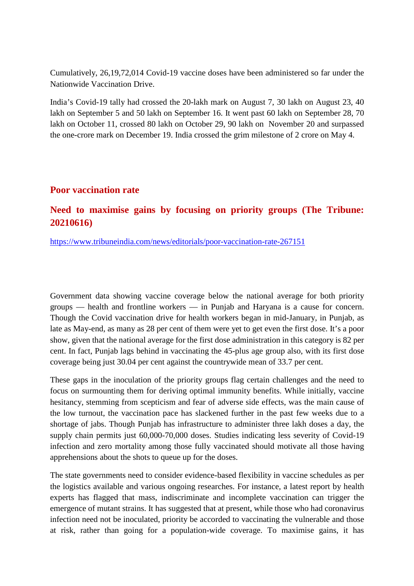Cumulatively, 26,19,72,014 Covid-19 vaccine doses have been administered so far under the Nationwide Vaccination Drive.

India's Covid-19 tally had crossed the 20-lakh mark on August 7, 30 lakh on August 23, 40 lakh on September 5 and 50 lakh on September 16. It went past 60 lakh on September 28, 70 lakh on October 11, crossed 80 lakh on October 29, 90 lakh on November 20 and surpassed the one-crore mark on December 19. India crossed the grim milestone of 2 crore on May 4.

#### **Poor vaccination rate**

#### **Need to maximise gains by focusing on priority groups (The Tribune: 20210616)**

https://www.tribuneindia.com/news/editorials/poor-vaccination-rate-267151

Government data showing vaccine coverage below the national average for both priority groups — health and frontline workers — in Punjab and Haryana is a cause for concern. Though the Covid vaccination drive for health workers began in mid-January, in Punjab, as late as May-end, as many as 28 per cent of them were yet to get even the first dose. It's a poor show, given that the national average for the first dose administration in this category is 82 per cent. In fact, Punjab lags behind in vaccinating the 45-plus age group also, with its first dose coverage being just 30.04 per cent against the countrywide mean of 33.7 per cent.

These gaps in the inoculation of the priority groups flag certain challenges and the need to focus on surmounting them for deriving optimal immunity benefits. While initially, vaccine hesitancy, stemming from scepticism and fear of adverse side effects, was the main cause of the low turnout, the vaccination pace has slackened further in the past few weeks due to a shortage of jabs. Though Punjab has infrastructure to administer three lakh doses a day, the supply chain permits just 60,000-70,000 doses. Studies indicating less severity of Covid-19 infection and zero mortality among those fully vaccinated should motivate all those having apprehensions about the shots to queue up for the doses.

The state governments need to consider evidence-based flexibility in vaccine schedules as per the logistics available and various ongoing researches. For instance, a latest report by health experts has flagged that mass, indiscriminate and incomplete vaccination can trigger the emergence of mutant strains. It has suggested that at present, while those who had coronavirus infection need not be inoculated, priority be accorded to vaccinating the vulnerable and those at risk, rather than going for a population-wide coverage. To maximise gains, it has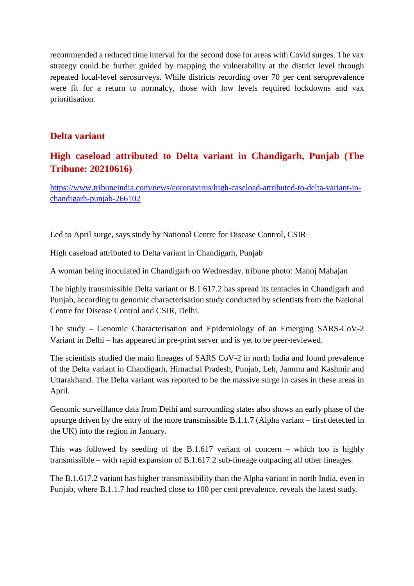recommended a reduced time interval for the second dose for areas with Covid surges. The vax strategy could be further guided by mapping the vulnerability at the district level through repeated local-level serosurveys. While districts recording over 70 per cent seroprevalence were fit for a return to normalcy, those with low levels required lockdowns and vax prioritisation.

#### **Delta variant**

#### **High caseload attributed to Delta variant in Chandigarh, Punjab (The Tribune: 20210616)**

https://www.tribuneindia.com/news/coronavirus/high-caseload-attributed-to-delta-variant-inchandigarh-punjab-266102

Led to April surge, says study by National Centre for Disease Control, CSIR

High caseload attributed to Delta variant in Chandigarh, Punjab

A woman being inoculated in Chandigarh on Wednesday. tribune photo: Manoj Mahajan

The highly transmissible Delta variant or B.1.617.2 has spread its tentacles in Chandigarh and Punjab, according to genomic characterisation study conducted by scientists from the National Centre for Disease Control and CSIR, Delhi.

The study – Genomic Characterisation and Epidemiology of an Emerging SARS-CoV-2 Variant in Delhi – has appeared in pre-print server and is yet to be peer-reviewed.

The scientists studied the main lineages of SARS CoV-2 in north India and found prevalence of the Delta variant in Chandigarh, Himachal Pradesh, Punjab, Leh, Jammu and Kashmir and Uttarakhand. The Delta variant was reported to be the massive surge in cases in these areas in April.

Genomic surveillance data from Delhi and surrounding states also shows an early phase of the upsurge driven by the entry of the more transmissible B.1.1.7 (Alpha variant – first detected in the UK) into the region in January.

This was followed by seeding of the B.1.617 variant of concern – which too is highly transmissible – with rapid expansion of B.1.617.2 sub-lineage outpacing all other lineages.

The B.1.617.2 variant has higher transmissibility than the Alpha variant in north India, even in Punjab, where B.1.1.7 had reached close to 100 per cent prevalence, reveals the latest study.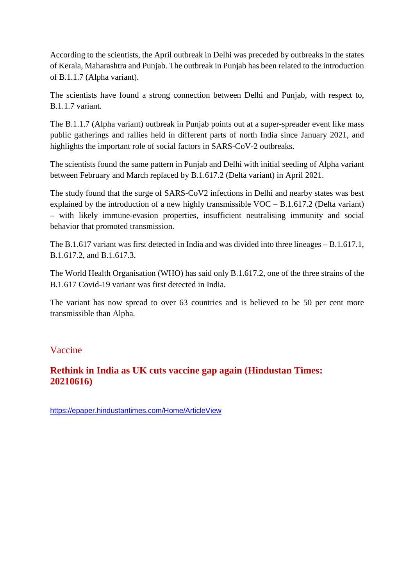According to the scientists, the April outbreak in Delhi was preceded by outbreaks in the states of Kerala, Maharashtra and Punjab. The outbreak in Punjab has been related to the introduction of B.1.1.7 (Alpha variant).

The scientists have found a strong connection between Delhi and Punjab, with respect to, B.1.1.7 variant.

The B.1.1.7 (Alpha variant) outbreak in Punjab points out at a super-spreader event like mass public gatherings and rallies held in different parts of north India since January 2021, and highlights the important role of social factors in SARS-CoV-2 outbreaks.

The scientists found the same pattern in Punjab and Delhi with initial seeding of Alpha variant between February and March replaced by B.1.617.2 (Delta variant) in April 2021.

The study found that the surge of SARS-CoV2 infections in Delhi and nearby states was best explained by the introduction of a new highly transmissible VOC – B.1.617.2 (Delta variant) – with likely immune-evasion properties, insufficient neutralising immunity and social behavior that promoted transmission.

The B.1.617 variant was first detected in India and was divided into three lineages – B.1.617.1, B.1.617.2, and B.1.617.3.

The World Health Organisation (WHO) has said only B.1.617.2, one of the three strains of the B.1.617 Covid-19 variant was first detected in India.

The variant has now spread to over 63 countries and is believed to be 50 per cent more transmissible than Alpha.

#### Vaccine

#### **Rethink in India as UK cuts vaccine gap again (Hindustan Times: 20210616)**

https://epaper.hindustantimes.com/Home/ArticleView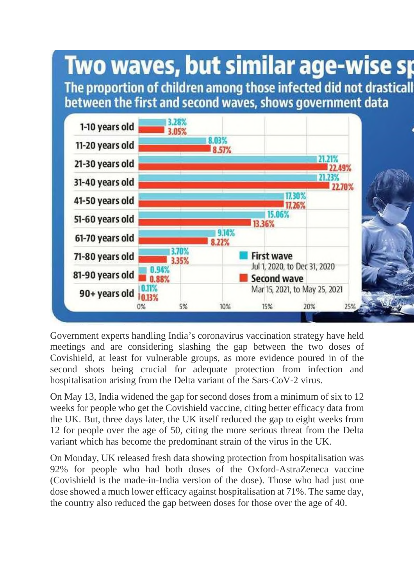

Government experts handling India's coronavirus vaccination strategy have held meetings and are considering slashing the gap between the two doses of Covishield, at least for vulnerable groups, as more evidence poured in of the second shots being crucial for adequate protection from infection and hospitalisation arising from the Delta variant of the Sars-CoV-2 virus.

On May 13, India widened the gap for second doses from a minimum of six to 12 weeks for people who get the Covishield vaccine, citing better efficacy data from the UK. But, three days later, the UK itself reduced the gap to eight weeks from 12 for people over the age of 50, citing the more serious threat from the Delta variant which has become the predominant strain of the virus in the UK.

On Monday, UK released fresh data showing protection from hospitalisation was 92% for people who had both doses of the Oxford-AstraZeneca vaccine (Covishield is the made-in-India version of the dose). Those who had just one dose showed a much lower efficacy against hospitalisation at 71%. The same day, the country also reduced the gap between doses for those over the age of 40.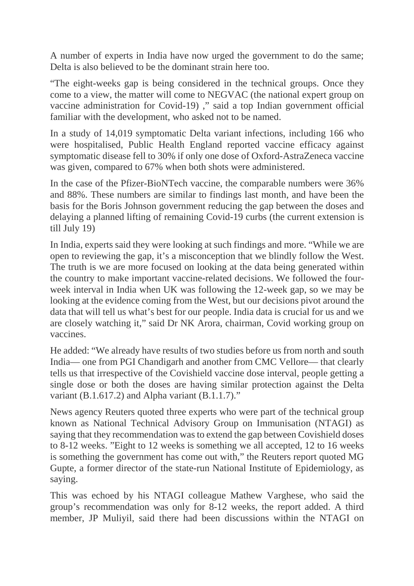A number of experts in India have now urged the government to do the same; Delta is also believed to be the dominant strain here too.

"The eight-weeks gap is being considered in the technical groups. Once they come to a view, the matter will come to NEGVAC (the national expert group on vaccine administration for Covid-19) ," said a top Indian government official familiar with the development, who asked not to be named.

In a study of 14,019 symptomatic Delta variant infections, including 166 who were hospitalised, Public Health England reported vaccine efficacy against symptomatic disease fell to 30% if only one dose of Oxford-AstraZeneca vaccine was given, compared to 67% when both shots were administered.

In the case of the Pfizer-BioNTech vaccine, the comparable numbers were 36% and 88%. These numbers are similar to findings last month, and have been the basis for the Boris Johnson government reducing the gap between the doses and delaying a planned lifting of remaining Covid-19 curbs (the current extension is till July 19)

In India, experts said they were looking at such findings and more. "While we are open to reviewing the gap, it's a misconception that we blindly follow the West. The truth is we are more focused on looking at the data being generated within the country to make important vaccine-related decisions. We followed the fourweek interval in India when UK was following the 12-week gap, so we may be looking at the evidence coming from the West, but our decisions pivot around the data that will tell us what's best for our people. India data is crucial for us and we are closely watching it," said Dr NK Arora, chairman, Covid working group on vaccines.

He added: "We already have results of two studies before us from north and south India— one from PGI Chandigarh and another from CMC Vellore— that clearly tells us that irrespective of the Covishield vaccine dose interval, people getting a single dose or both the doses are having similar protection against the Delta variant (B.1.617.2) and Alpha variant (B.1.1.7)."

News agency Reuters quoted three experts who were part of the technical group known as National Technical Advisory Group on Immunisation (NTAGI) as saying that they recommendation was to extend the gap between Covishield doses to 8-12 weeks. "Eight to 12 weeks is something we all accepted, 12 to 16 weeks is something the government has come out with," the Reuters report quoted MG Gupte, a former director of the state-run National Institute of Epidemiology, as saying.

This was echoed by his NTAGI colleague Mathew Varghese, who said the group's recommendation was only for 8-12 weeks, the report added. A third member, JP Muliyil, said there had been discussions within the NTAGI on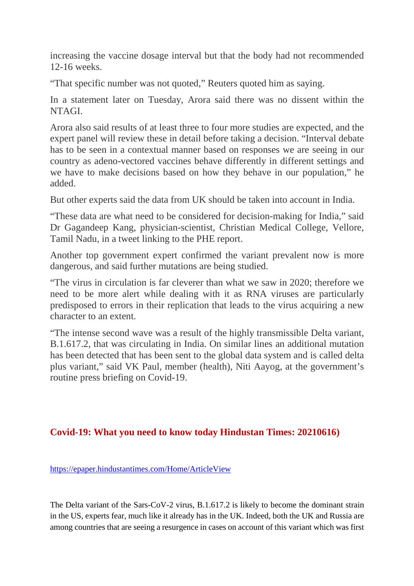increasing the vaccine dosage interval but that the body had not recommended 12-16 weeks.

"That specific number was not quoted," Reuters quoted him as saying.

In a statement later on Tuesday, Arora said there was no dissent within the NTAGI.

Arora also said results of at least three to four more studies are expected, and the expert panel will review these in detail before taking a decision. "Interval debate has to be seen in a contextual manner based on responses we are seeing in our country as adeno-vectored vaccines behave differently in different settings and we have to make decisions based on how they behave in our population," he added.

But other experts said the data from UK should be taken into account in India.

"These data are what need to be considered for decision-making for India," said Dr Gagandeep Kang, physician-scientist, Christian Medical College, Vellore, Tamil Nadu, in a tweet linking to the PHE report.

Another top government expert confirmed the variant prevalent now is more dangerous, and said further mutations are being studied.

"The virus in circulation is far cleverer than what we saw in 2020; therefore we need to be more alert while dealing with it as RNA viruses are particularly predisposed to errors in their replication that leads to the virus acquiring a new character to an extent.

"The intense second wave was a result of the highly transmissible Delta variant, B.1.617.2, that was circulating in India. On similar lines an additional mutation has been detected that has been sent to the global data system and is called delta plus variant," said VK Paul, member (health), Niti Aayog, at the government's routine press briefing on Covid-19.

#### **Covid-19: What you need to know today Hindustan Times: 20210616)**

https://epaper.hindustantimes.com/Home/ArticleView

The Delta variant of the Sars-CoV-2 virus, B.1.617.2 is likely to become the dominant strain in the US, experts fear, much like it already has in the UK. Indeed, both the UK and Russia are among countries that are seeing a resurgence in cases on account of this variant which was first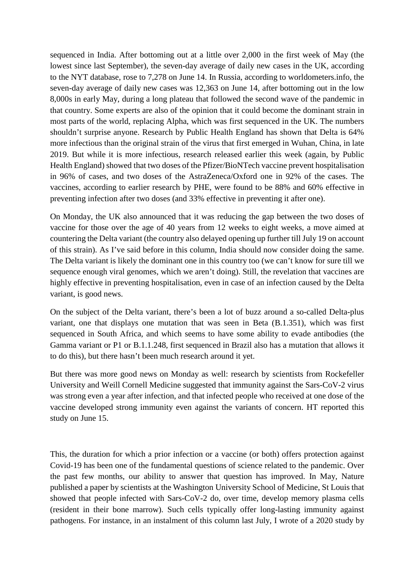sequenced in India. After bottoming out at a little over 2,000 in the first week of May (the lowest since last September), the seven-day average of daily new cases in the UK, according to the NYT database, rose to 7,278 on June 14. In Russia, according to worldometers.info, the seven-day average of daily new cases was 12,363 on June 14, after bottoming out in the low 8,000s in early May, during a long plateau that followed the second wave of the pandemic in that country. Some experts are also of the opinion that it could become the dominant strain in most parts of the world, replacing Alpha, which was first sequenced in the UK. The numbers shouldn't surprise anyone. Research by Public Health England has shown that Delta is 64% more infectious than the original strain of the virus that first emerged in Wuhan, China, in late 2019. But while it is more infectious, research released earlier this week (again, by Public Health England) showed that two doses of the Pfizer/BioNTech vaccine prevent hospitalisation in 96% of cases, and two doses of the AstraZeneca/Oxford one in 92% of the cases. The vaccines, according to earlier research by PHE, were found to be 88% and 60% effective in preventing infection after two doses (and 33% effective in preventing it after one).

On Monday, the UK also announced that it was reducing the gap between the two doses of vaccine for those over the age of 40 years from 12 weeks to eight weeks, a move aimed at countering the Delta variant (the country also delayed opening up further till July 19 on account of this strain). As I've said before in this column, India should now consider doing the same. The Delta variant is likely the dominant one in this country too (we can't know for sure till we sequence enough viral genomes, which we aren't doing). Still, the revelation that vaccines are highly effective in preventing hospitalisation, even in case of an infection caused by the Delta variant, is good news.

On the subject of the Delta variant, there's been a lot of buzz around a so-called Delta-plus variant, one that displays one mutation that was seen in Beta (B.1.351), which was first sequenced in South Africa, and which seems to have some ability to evade antibodies (the Gamma variant or P1 or B.1.1.248, first sequenced in Brazil also has a mutation that allows it to do this), but there hasn't been much research around it yet.

But there was more good news on Monday as well: research by scientists from Rockefeller University and Weill Cornell Medicine suggested that immunity against the Sars-CoV-2 virus was strong even a year after infection, and that infected people who received at one dose of the vaccine developed strong immunity even against the variants of concern. HT reported this study on June 15.

This, the duration for which a prior infection or a vaccine (or both) offers protection against Covid-19 has been one of the fundamental questions of science related to the pandemic. Over the past few months, our ability to answer that question has improved. In May, Nature published a paper by scientists at the Washington University School of Medicine, St Louis that showed that people infected with Sars-CoV-2 do, over time, develop memory plasma cells (resident in their bone marrow). Such cells typically offer long-lasting immunity against pathogens. For instance, in an instalment of this column last July, I wrote of a 2020 study by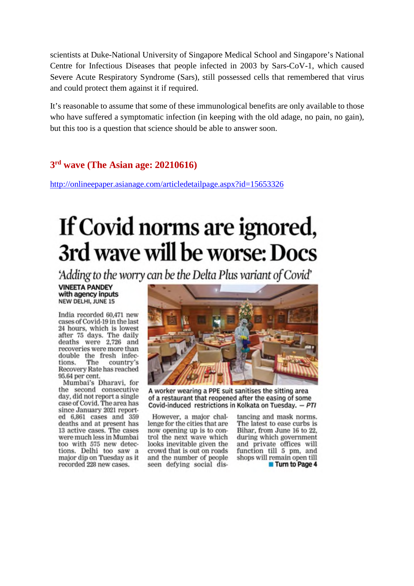scientists at Duke-National University of Singapore Medical School and Singapore's National Centre for Infectious Diseases that people infected in 2003 by Sars-CoV-1, which caused Severe Acute Respiratory Syndrome (Sars), still possessed cells that remembered that virus and could protect them against it if required.

It's reasonable to assume that some of these immunological benefits are only available to those who have suffered a symptomatic infection (in keeping with the old adage, no pain, no gain), but this too is a question that science should be able to answer soon.

#### **3 rd wave (The Asian age: 20210616)**

http://onlineepaper.asianage.com/articledetailpage.aspx?id=15653326

# If Covid norms are ignored, 3rd wave will be worse: Docs

'Adding to the worry can be the Delta Plus variant of Covid'

#### **VINEETA PANDEY** with agency inputs NEW DELHI, JUNE 15

India recorded 60,471 new cases of Covid-19 in the last 24 hours, which is lowest after 75 days. The daily<br>deaths were 2.726 and recoveries were more than double the fresh infec-The tions. country's Recovery Rate has reached 95.64 per cent.

Mumbai's Dharavi, for<br>the second consecutive day, did not report a single case of Covid. The area has since January 2021 reported 6,861 cases and 359 deaths and at present has 13 active cases. The cases were much less in Mumbai too with 575 new detections. Delhi too saw a major dip on Tuesday as it recorded 228 new cases.



A worker wearing a PPE suit sanitises the sitting area of a restaurant that reopened after the easing of some Covid-induced restrictions in Kolkata on Tuesday. - PTI

However, a major challenge for the cities that are now opening up is to control the next wave which looks inevitable given the crowd that is out on roads and the number of people seen defying social dis-

tancing and mask norms. The latest to ease curbs is Bihar, from June 16 to 22, during which government and private offices will function till 5 pm, and shops will remain open till **Turn to Page 4**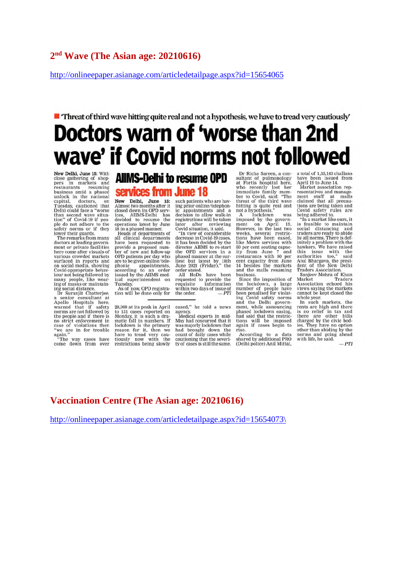#### $2<sup>nd</sup>$  Wave (The Asian age: 20210616)

http://onlineepaper.asianage.com/articledetailpage.aspx?id=15654065

## $\blacksquare$  Threat of third wave hitting quite real and not a hypothesis, we have to tread very cautiously Doctors warn of 'worse than 2nd wave' if Covid norms not followed

New Delhi, June 15: With<br>close gathering of shop-<br>pers in markets and<br>restaurants resuming<br>business amid a phased<br>unlock in the national<br>capital, doctors, on<br>Tuesday, cautioned that Tuesday, cautioned that<br>the absolute that the than second wave situation<br>of Covid-19 if peo-<br>ple do not adhere to the<br>safety norms or if they<br>lower their guaracts.<br>The remarks from many<br>doctors at leading govern-<br>motors at

ment or private facilities<br>here come after visuals of<br>various crowded markets surfaced in reports and<br>on social media, showing Covid-appropriate behavfour not being followed by<br>many people, like wear-<br>ing of masks or maintainng social distance.<br>Dr Suranjit Chatterjee,

a senior consultant at<br>Apollo Hospitals here,<br>warned that if safety<br>norms are not followed by the people and if there is<br>no strict enforcement in case of violations then<br>"we are in for trouble<br>again."

"The way cases have<br>come down from over

## **AllMS-Delhi to resume OPD**

#### services from June 18

New Delhi, June 15:<br>Almost two months after it closed down its OPD servthese down is or b services, AIIMS-Delhi has<br>decided to resume the decided to resume the<br>operations latest by June<br>18 in a phased manner.

Is in a phased manner.<br>Heads of departments of<br>all clinical departments<br>have been requested to<br>provide a proposed num-<br>ber of new and follow-up<br>mon prior of new and follow-up ber of new and ionow up<br>OPD patients per day who OFD patients per day who<br>are to be given online/tele-<br>phonic appointments,<br>according to an order<br>issued by the AIIMS med-<br>ical superintendent on Tuesday.

As of now, OPD registra-<br>tion will be done only for

28,000 at its peak in April to 131 cases reported on<br>Monday, it is such a dramatic fall in numbers. If matic rain numbers. If<br>lockdown is the primary<br>reason for it, then we<br>have to tread very cau-<br>tiously now with the<br>restrictions being slowly

such patients who are having prior online/telephonic appointments and a decision to allow walk-in<br>registrations will be taken later after reviewing<br>Covid situation, it said. "In view of considerable

the decrease in Covid-19 cases,<br>it has been decided by the<br>director AIIMS to re-start<br>the OPD services in a director AllMS to restart<br>the OPD services in a<br>phased manner at the ear-<br>liest but latest by 18th<br>June 2021 (Friday)," the<br>order stated.

All HoDs have been<br>requested to provide the<br>requisite information within two days of issue of<br>the order.  $-PTT$ 

eased," he told a news agency.

Medical experts in mid-<br>May had concurred that it was majorly lockdown that<br>had brought down the<br>count of daily cases while cautioning that the severi-<br>ty of cases is still the same.

Dr Richa Sareen, a consultant of pulmonology<br>at Fortis hospital here, who recently lost here, immediate family member to Covid, said: "The threat of the third wave<br>hitting is quite real and not a hypothesis."<br>Anota by the

50 per cent seating capacity<br>ity from June 7 and<br>restaurants with 50 per cent capacity from June<br>14 besides the markets<br>and the malls resuming business

Since the imposition of Since the imposition of<br>the lookdown, a large<br>number of people have<br>been penalised for violat-<br>ing Covid safety norms<br>and the Delhi govern-<br>ment, while announcing<br>phased lockdown easing.<br>had said that the restric-<br>tions wi

According to a data<br>shared by additional PRO<br>(Delhi police) Anil Mittal,

a total of 1,33,143 challans have been issued from<br>April 19 to June 14.

April 19 to June 14.<br>Market association rep-<br>Market association representatives and manage-<br>near staff at at malls<br>claimed that all precau-<br>tions are being taken and<br>being adhered to.<br>"In a market like ours, it

is feasible to maintain<br>social distancing and<br>traders are ready to abide by all norms. There is definitely a problem with the<br>hawkers. We have raised this issue with the<br>authorities too," said atural Bhargava, the president of the New Delhi<br>Traders Association.<br>Sanjeev Mehra of Khan<br>Market Traders

Association echoed his views saying the markets<br>cannot be kept closed the whole year.

whole year.<br>In such markets, the<br>rents are high and there<br>is no relief in tax and<br>there are other bills<br>charged by the civic bod-<br>ies. They have no option<br>other than abiding by the<br>norms and going ahead with life, he said.

**PTI** 

#### **Vaccination Centre (The Asian age: 20210616)**

http://onlineepaper.asianage.com/articledetailpage.aspx?id=15654073\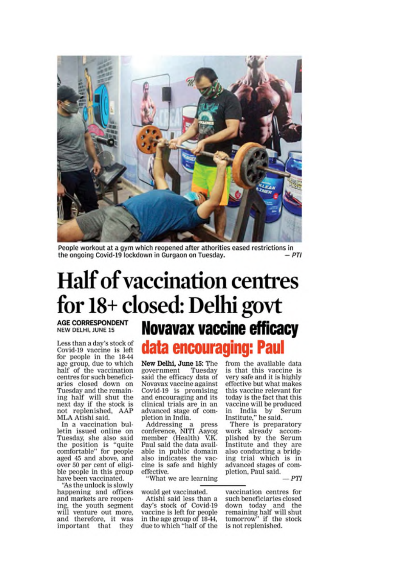

People workout at a gym which reopened after athorities eased restrictions in the ongoing Covid-19 lockdown in Gurgaon on Tuesday.  $-PTI$ 

## **Half of vaccination centres** for 18+ closed: Delhi govt

**AGE CORRESPONDENT** NEW DELHI, JUNE 15

Less than a day's stock of Covid-19 vaccine is left for people in the 18-44 age group, due to which<br>half of the vaccination centres for such beneficiaries closed down on Tuesday and the remaining half will shut the<br>next day if the stock is not replenished, AAP MLA Atishi said.

In a vaccination bulletin issued online on Tuesday, she also said<br>the position is "quite<br>comfortable" for people aged 45 and above, and over 50 per cent of eligible people in this group have been vaccinated.

"As the unlock is slowly happening and offices and markets are reopening, the youth segment will venture out more, and therefore, it was important that they **Novavax vaccine efficacy** data encouraging: Paul

New Delhi, June 15: The government Tuesday said the efficacy data of Novavax vaccine against Covid-19 is promising and encouraging and its clinical trials are in an advanced stage of completion in India.

Addressing a press<br>conference, NITI Aayog member (Health) V.K. Paul said the data available in public domain also indicates the vaccine is safe and highly effective.

"What we are learning

would get vaccinated.

Atishi said less than a day's stock of Covid-19 vaccine is left for people in the age group of 18-44, due to which "half of the from the available data is that this vaccine is<br>very safe and it is highly effective but what makes this vaccine relevant for today is the fact that this vaccine will be produced in India by Serum<br>Institute," he said.<br>There is preparatory

work already accomplished by the Serum Institute and they are also conducting a bridging trial which is in advanced stages of completion, Paul said.

 $-PTI$ 

vaccination centres for such beneficiaries closed down today and the remaining half will shut<br>tomorrow" if the stock<br>is not replenished.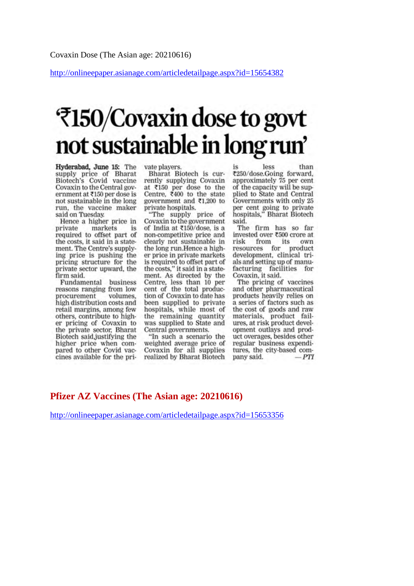http://onlineepaper.asianage.com/articledetailpage.aspx?id=15654382

# **7150/Covaxin dose to govt** not sustainable in long run'

Hyderabad, June 15: The supply price of Bharat Biotech's Covid vaccine Covaxin to the Central government at ₹150 per dose is not sustainable in the long run, the vaccine maker said on Tuesday.

Hence a higher price in private markets is required to offset part of the costs, it said in a statement. The Centre's supplying price is pushing the pricing structure for the private sector upward, the firm said.

Fundamental business reasons ranging from low procurement volumes. high distribution costs and retail margins, among few others, contribute to higher pricing of Covaxin to the private sector, Bharat Biotech said, justifying the higher price when compared to other Covid vaccines available for the private players.

Bharat Biotech is currently supplying Covaxin at ₹150 per dose to the<br>Centre, ₹400 to the state government and ₹1,200 to private hospitals.

"The supply price of Covaxin to the government of India at ₹150/dose, is a non-competitive price and clearly not sustainable in the long run.Hence a higher price in private markets is required to offset part of the costs," it said in a statement. As directed by the Centre, less than 10 per<br>cent of the total production of Covaxin to date has been supplied to private hospitals, while most of the remaining quantity<br>was supplied to State and Central governments.

"In such a scenario the weighted average price of Covaxin for all supplies realized by Bharat Biotech

 $legs$ than ₹250/dose.Going forward. approximately 75 per cent of the capacity will be supplied to State and Central Governments with only 25 per cent going to private<br>hospitals," Bharat Biotech said.

The firm has so far invested over ₹500 crore at risk from its own resources for product development, clinical trials and setting up of manufacturing facilities for Covaxin, it said.

The pricing of vaccines and other pharmaceutical products heavily relies on a series of factors such as the cost of goods and raw materials, product fail-<br>ures, at risk product development outlays and product overages, besides other regular business expenditures, the city-based company said.  $= PT$ 

#### **Pfizer AZ Vaccines (The Asian age: 20210616)**

http://onlineepaper.asianage.com/articledetailpage.aspx?id=15653356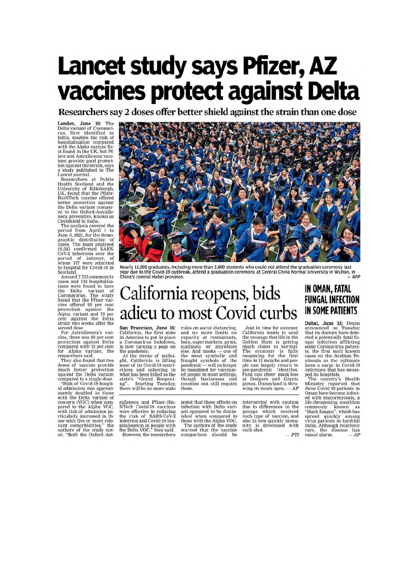## Lancet study says Pfizer, AZ vaccines protect against Delta

Researchers say 2 doses offer better shield against the strain than one dose

**London, June 15:** The Delta variant of Coronavirus, first identified in India, doubles the risk of maia, aouves the risk of<br>hospitalisation compared<br>with the Alpha variant fir-<br>st found in the UK, but Pf-<br>izer and AstraZeneca vaccines provide good protection against the strain, says<br>a study published in The Lancet journal.

Lancet journal.<br>
Researchers at Public<br>
Realth Scotland and the<br>
University of Edinburgh,<br>
UK, found that the Pfizer-BioNTech vaccine offered biotyleen vacante interest<br>better protection against<br>the Delta variant compar-<br>ed to the Oxford-AstraZeneca preventive, known as<br>Covishield in India.

The analysis covered the<br>period from April 1 to<br>June 6, 2021, for the demosume 6, 2021, for the demographic<br>graphic distribution of<br>cases. The team analysed<br>19,543 confirmed SARS-19,943 commined SARS-<br>CoV-2 infections over the<br>period of interest, of<br>whom 377 were admitted<br>to hospital for Covid-19 in Scotland.

Around 7,723 community cases and 134 hospitalisa tions were found to have tions were found to have<br>the Delta variant of<br>Coronavirus. The study<br>found that the Pfizer vac-<br>cine offered 92 per cent<br>protection against the Alpha variant and 79 per<br>cent against the Delta strain two weeks after the

strain two weeks and the<br>geond dose,<br>For AstraZeneca's vac-<br>cine, there was 60 per cent<br>protection against Delta compared with 73 per cent for Alpha variant, the<br>researchers said.

researchers said.<br>They also found that two<br>doses of vaccine provide<br>much better protection<br>against the Delta variant<br>compared to a single dose.<br>"Risk of Covid-19 hospital admission was approxi-<br>mately doubled in those matery women<br>with the Delta variant of<br>concern (VOC) when com-<br>pared to the Alpha VOC,<br>with risk of admission particularly increased in the ose with five or more relevant comorbidities," the<br>authors of the study not-<br>ed. "Both the Oxford-Ast-



Nearly 11,000 graduates, including more than 2,000 students who could not attend the graduation ceremony last<br>year due to the Covid-19 outbreak, attend a graduation ceremony at Central China Normal University in Wuhan, in  $ATED$ 

## California reopens, bids adieu to most Covid curbs

San Francisco, June 15:<br>California, the first state<br>in America to put in place<br>a Coronavirus lockdown, is now turning a page on

is now turning a page on<br>the pandemic.<br>At the stroke of midni-<br>ght, California is lifting<br>most of its Covid-19 restri-<br>ctions and ushering in what has been billed as the<br>state's "Grand Reopeni-<br>ng". Starting Tuesday, there will be no more state

raZeneca and Pfizer-Bio-<br>NTech Covid-19 vaccines were effective in reducing<br>the risk of SARS-CoV-2<br>infection and Covid-19 hospitalisation in people with<br>the Delta VOC," they said.<br>However, the researchers

rules on social distancing. and no more limits on<br>capacity at restaurants,<br>bars, supermarkets, gyms, stadiums or anywhere<br>else. And masks — one of<br>the most symbolic and<br>fraught symbols of the<br>maght symbols of the pandemic - will no longer<br>be mandated for vaccinated people in most settings,<br>though businesses and<br>counties can still require them.

noted that these effects on<br>infection with Delta varimercion win betta<br>ant appeared to be dimin-<br>ished when compared to<br>those with the Alpha VOC.<br>The authors of the study<br>warned that the vaccine comparison should be

Just in time for summer, California wants to send the message that life in the Golden State is getting outen State is getting<br>The economy is fully<br>reopening for the first<br>time in 15 months and people can largely return to<br>pre-pandemic lifestyles. Fans can cheer mask-less<br>at Dodgers and Giants<br>games. Disneyland is throwing its doors open.  $-AP$ 

interpreted with caution<br>due to differences in the groups which received<br>each type of vaccine, and also in how quickly immu-<br>nity is developed with<br>each shot.  $-PTI$ 

#### IN OMAN, FATAL **FUNGAL INFECTION** IN SOME PATIENTS

**Dubai, June 15:** Oman<br>announced on Tuesday<br>that its doctors have detected a potentially fatal fu-<br>ngal infection afflicting ngar intection antiteting<br>some Coronavirus patients,<br>ts, the first such known<br>raised on the Arabian Pe-<br>nimsula as the sultanate<br>faces a surge in Covid-19<br>infections that has swam-

mections that has swam-<br>ped its hospitals.<br>The country's Health<br>Ministry reported that<br>three Covid-19 patients in<br>Oman have become infected with mucormycosis, a<br>life-threatening condition commonly known as<br>"black fungus", which has<br>spread quickly among<br>virus patients in hard-hit India. Although relatively<br>rare, the disease has<br>raised alarm.  $-AP$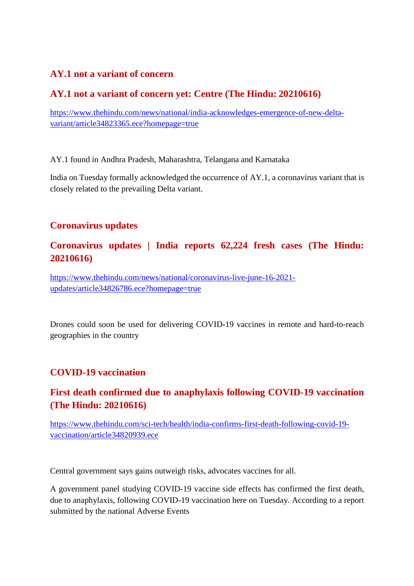#### **AY.1 not a variant of concern**

#### **AY.1 not a variant of concern yet: Centre (The Hindu: 20210616)**

https://www.thehindu.com/news/national/india-acknowledges-emergence-of-new-deltavariant/article34823365.ece?homepage=true

AY.1 found in Andhra Pradesh, Maharashtra, Telangana and Karnataka

India on Tuesday formally acknowledged the occurrence of AY.1, a coronavirus variant that is closely related to the prevailing Delta variant.

#### **Coronavirus updates**

#### **Coronavirus updates | India reports 62,224 fresh cases (The Hindu: 20210616)**

https://www.thehindu.com/news/national/coronavirus-live-june-16-2021 updates/article34826786.ece?homepage=true

Drones could soon be used for delivering COVID-19 vaccines in remote and hard-to-reach geographies in the country

#### **COVID-19 vaccination**

#### **First death confirmed due to anaphylaxis following COVID-19 vaccination (The Hindu: 20210616)**

https://www.thehindu.com/sci-tech/health/india-confirms-first-death-following-covid-19 vaccination/article34820939.ece

Central government says gains outweigh risks, advocates vaccines for all.

A government panel studying COVID-19 vaccine side effects has confirmed the first death, due to anaphylaxis, following COVID-19 vaccination here on Tuesday. According to a report submitted by the national Adverse Events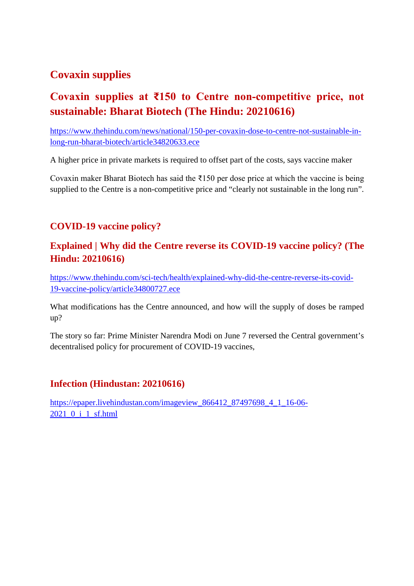### **Covaxin supplies**

#### **Covaxin supplies at ₹150 to Centre non-competitive price, not sustainable: Bharat Biotech (The Hindu: 20210616)**

https://www.thehindu.com/news/national/150-per-covaxin-dose-to-centre-not-sustainable-inlong-run-bharat-biotech/article34820633.ece

A higher price in private markets is required to offset part of the costs, says vaccine maker

Covaxin maker Bharat Biotech has said the ₹150 per dose price at which the vaccine is being supplied to the Centre is a non-competitive price and "clearly not sustainable in the long run".

#### **COVID-19 vaccine policy?**

#### **Explained | Why did the Centre reverse its COVID-19 vaccine policy? (The Hindu: 20210616)**

https://www.thehindu.com/sci-tech/health/explained-why-did-the-centre-reverse-its-covid-19-vaccine-policy/article34800727.ece

What modifications has the Centre announced, and how will the supply of doses be ramped up?

The story so far: Prime Minister Narendra Modi on June 7 reversed the Central government's decentralised policy for procurement of COVID-19 vaccines,

#### **Infection (Hindustan: 20210616)**

https://epaper.livehindustan.com/imageview\_866412\_87497698\_4\_1\_16-06- 2021\_0\_i\_1\_sf.html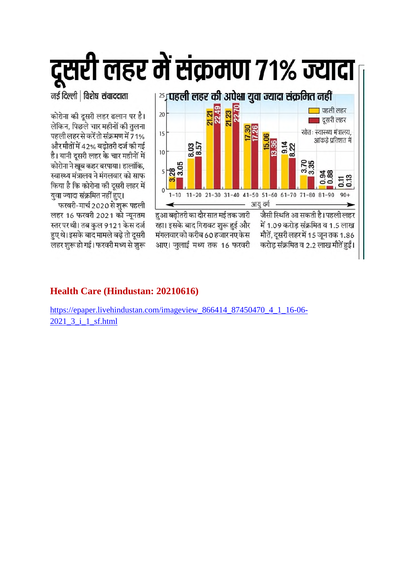दूसरी लहर में संक्रमण 71% ज्यादा

नई दिल्ली | विशेष संवाददाता

कोरोना की दूसरी लहर ढलान पर है। लेकिन, पिछले चार महीनों की तुलना पहली लहर से करें तो संक्रमण में 71% और मौतों में 42% बढ़ोतरी दर्ज की गई है। यानी दूसरी लहर के चार महीनों में कोरोना ने खुब कहर बरपाया। हालांकि, स्वास्थ्य मंत्रालय ने मंगलवार को साफ किया है कि कोरोना की दुसरी लहर में युवा ज्यादा संक्रमित नहीं हुए।

फरवरी-मार्च 2020 से शुरू पहली लहर 16 फरवरी 2021 को न्यूनतम स्तर पर थी। तब कुल 9121 केस दर्ज हुए थे। इसके बाद मामले बढ़े तो दूसरी लहर शुरू हो गई। फरवरी मध्य से शुरू

25, पहली लहर की अपेक्षा युवा ज्यादा संक्रमित नहीं 22.49 22.70 ■ पहली लहर 21.23  $\overline{21.21}$ 20 ■ दूसरी लहर **P.30**<br>**P.26** स्रोतः स्वास्थ्य मंत्रालय, 15 आंकड़े प्रतिशत में 3.36 **9.14**<br>8.22 8.03 o  $10$ 3.35  $\frac{28}{3.05}$ 5 ತೆ ಹ  $\frac{11}{0.13}$ öö 21-30 31-40 41-50 51-60 61-70 71-80 81-90  $90+$  $1 - 10$  $11 - 20$ आयु वर्ग

> जैसी स्थिति आ सकती है। पहली लहर में 1.09 करोड संक्रमित व 1.5 लाख मौतें, दूसरी लहर में 15 जून तक 1.86 करोड़ संक्रमित व 2.2 लाख मौतें हुईं।

हुआ बढ़ोतरी का दौर सात मई तक जारी रहा। इसके बाद गिरावट शुरू हुई और मंगलवार को करीब 60 हजार नए केस आए। जुलाई मध्य तक 16 फरवरी

#### **Health Care (Hindustan: 20210616)**

https://epaper.livehindustan.com/imageview\_866414\_87450470\_4\_1\_16-06-2021 3 i 1 sf.html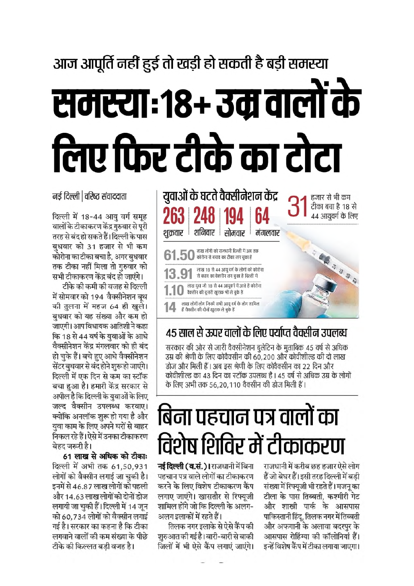# आज आपूर्ति नहीं हुई तो खड़ी हो सकती है बड़ी समस्या समस्याः १८+ उम्र वालों के लिए फिर टीके का टोटा

युवाओं के घटते वैक्सीनेशन केंद्र हजार से भी कम टीका बचा है 18 से 64 44 आयुवर्ग के लिए शनिवार शुक्रवार सोमवार मंगलवार लाख लोगों को राजधानी दिल्ली में अब तक A. S. S. S. S. S. S. S. S. S. S. S. S. 61.50 कोरोना से बचाव का टीका लग चुका है लाख 18 से 44 आयु वर्ग के लोगों को कोरोना से बचाव का वैक्सीन लग चुका है दिल्ली में वैक्सीन की दूसरी खुराक भी ले चुके हैं लाख लोगों लोग जिनमें सभी आयु वर्ग के लोग शामिल हैं वैक्सीन की दोनों खुराक ले चुके हैं

## 45 साल से ऊपर वालों के लिए पर्याप्त वैक्सीन उपलब्ध

सरकार की ओर से जारी वैक्सीनेशन बुलेटिन के मुताबिक 45 वर्ष से अधिक उम्र की श्रेणी के लिए कोवैक्सीन की 60.200 और कोवीशील्ड की दो लाख डोज और मिली हैं। अब इस श्रेणी के लिए कोवैक्सीन का 22 दिन और कोवीशील्ड का 43 दिन का स्टॉक उपलब्ध है। 45 वर्ष से अधिक उम्र के लोगों के लिए अभी तक 56,20,110 वैक्सीन की डोज मिली हैं।

# बिना पहचान पत्र वालों का विशेष शिविर में टीकाकरण

राजधानी में करीब छह हजार ऐसे लोग हैं जो बेघर हैं। इसी तरह दिल्ली में बड़ी संख्या में रिफ्यूजी भी रहते हैं। मजनू का टीला के पास तिब्बती, कश्मीरी गेट और शास्त्री पार्क के आसपास पाकिस्तानी हिंदू, तिलक नगर में तिब्बती और अफगानी के अलावा बदरपुर के आसपास रोहिंग्या की कॉलोनियां हैं। इन्हें विशेष कैंप में टीका लगाया जाएगा।

**नई दिल्ली ( व.सं.)।** राजधानी में बिना पहचान पत्र वाले लोगों का टीकाकरण करने के लिए विशेष टीकाकरण कैंप लगाए जाएंगे। खासतौर से रिफ्युजी शामिल होंगे जो कि दिल्ली के अलग-अलग इलाकों में रहते हैं।

तिलक नगर इलाके से ऐसे कैंप की शुरुआत की गई है। बारी-बारी से बाकी जिलों में भी ऐसे कैंप लगाएं जाएंगे।

नई दिल्ली | वरिष्ट संवाददाता

दिल्ली में 18-44 आयु वर्ग समूह वालों के टीकाकरण केंद्र गुरुवार से पूरी तरह से बंद हो सकते हैं। दिल्ली के पास बुधवार को 31 हजार से भी कम कोरोना का टीका बचा है, अगर बुधवार तक टीका नहीं मिला तो गुरुवार को

सभी टीकाकरण केंद्र बंद हो जाएंगे। टीके की कमी की वजह से दिल्ली में सोमवार को 194 वैक्सीनेशन बृथ की तुलना में महज 64 ही खुले। बधवार को यह संख्या और कम हो जाएगी। आप विधायक आतिशी ने कहा कि 18 से 44 वर्ष के युवाओं के आधे वैक्सीनेशन केंद्र मंगलवार को ही बंद हो चुके हैं। बचे हुए आधे वैक्सीनेशन सेंटर बुधवार से बंद होने शुरू हो जाएंगे। दिल्ली में एक दिन से कम का स्टॉक बचा हुआ है। हमारी केंद्र सरकार से अपील है कि दिल्ली के युवाओं के लिए जल्द वैक्सीन उपलब्ध करवाए। क्योंकि अनलॉक शुरू हो गया है और युवा काम के लिए अपने घरों से बाहर निकल रहे हैं।ऐसे में उनका टीकाकरण बेहद जरूरी है।

61 लाख से अधिक को टीकाः दिल्ली में अभी तक 61,50,931 लोगों को वैक्सीन लगाई जा चकी है। इनमें से 46.87 लाख लोगों को पहली और 14.63 लाख लोगों को दोनों डोज लगायी जा चुकी हैं। दिल्ली में 14 जुन को 60.734 लोगों को वैक्सीन लगाई गई है। सरकार का कहना है कि टीका लगवाने वालों की कम संख्या के पीछे टीके की किल्लत बडी वजह है।